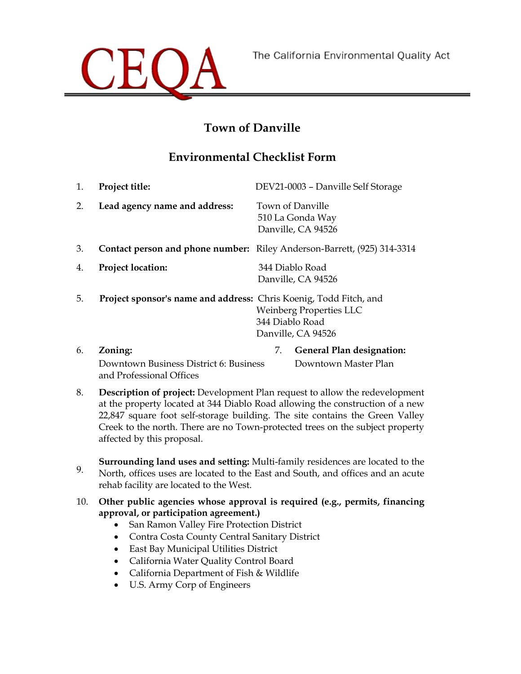

and Professional Offices

# **Town of Danville**

## **Environmental Checklist Form**

| 1. | Project title:                                                    | DEV21-0003 - Danville Self Storage                                             |
|----|-------------------------------------------------------------------|--------------------------------------------------------------------------------|
| 2. | Lead agency name and address:                                     | Town of Danville<br>510 La Gonda Way<br>Danville, CA 94526                     |
| 3. |                                                                   | <b>Contact person and phone number:</b> Riley Anderson-Barrett, (925) 314-3314 |
| 4. | <b>Project location:</b>                                          | 344 Diablo Road<br>Danville, CA 94526                                          |
| 5. | Project sponsor's name and address: Chris Koenig, Todd Fitch, and | <b>Weinberg Properties LLC</b><br>344 Diablo Road<br>Danville, CA 94526        |
| 6. | Zoning:                                                           | <b>General Plan designation:</b><br>7.                                         |
|    | Downtown Business District 6: Business                            | Downtown Master Plan                                                           |

- 8. **Description of project:** Development Plan request to allow the redevelopment at the property located at 344 Diablo Road allowing the construction of a new 22,847 square foot self-storage building. The site contains the Green Valley Creek to the north. There are no Town-protected trees on the subject property affected by this proposal.
- **Surrounding land uses and setting:** Multi-family residences are located to the<br>2. **North offices uses are located to the East and South and offices and an agute** North, offices uses are located to the East and South, and offices and an acute rehab facility are located to the West.
- 10. **Other public agencies whose approval is required (e.g., permits, financing approval, or participation agreement.)**
	- San Ramon Valley Fire Protection District
	- Contra Costa County Central Sanitary District
	- East Bay Municipal Utilities District
	- California Water Quality Control Board
	- California Department of Fish & Wildlife
	- U.S. Army Corp of Engineers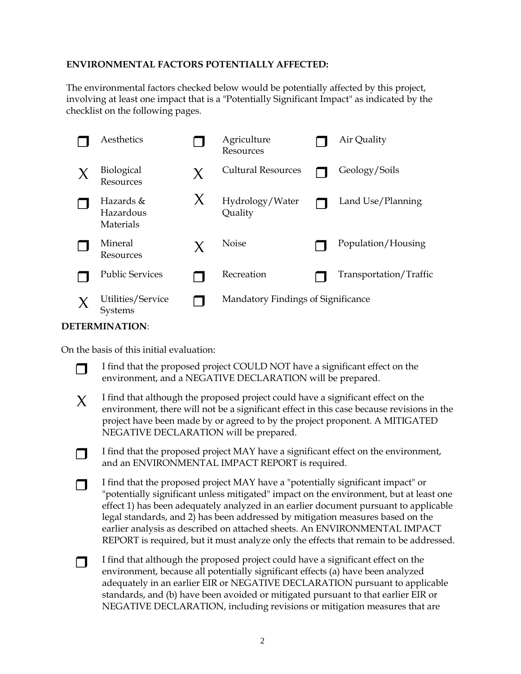#### **ENVIRONMENTAL FACTORS POTENTIALLY AFFECTED:**

The environmental factors checked below would be potentially affected by this project, involving at least one impact that is a "Potentially Significant Impact" as indicated by the checklist on the following pages.

| Aesthetics                          |   | Agriculture<br>Resources           | Air Quality            |
|-------------------------------------|---|------------------------------------|------------------------|
| <b>Biological</b><br>Resources      | X | <b>Cultural Resources</b>          | Geology/Soils          |
| Hazards &<br>Hazardous<br>Materials | X | Hydrology/Water<br>Quality         | Land Use/Planning      |
| Mineral<br>Resources                | X | <b>Noise</b>                       | Population/Housing     |
| <b>Public Services</b>              |   | Recreation                         | Transportation/Traffic |
| Utilities/Service<br>Systems        |   | Mandatory Findings of Significance |                        |

#### **DETERMINATION**:

On the basis of this initial evaluation:

I find that the proposed project COULD NOT have a significant effect on the environment, and a NEGATIVE DECLARATION will be prepared.

 $\chi$  I find that although the proposed project could have a significant effect on the environment, there will not be a significant effect in this case because revisions in the project have been made by or agreed to by the project proponent. A MITIGATED NEGATIVE DECLARATION will be prepared.

 I find that the proposed project MAY have a significant effect on the environment, and an ENVIRONMENTAL IMPACT REPORT is required.

 I find that the proposed project MAY have a "potentially significant impact" or "potentially significant unless mitigated" impact on the environment, but at least one effect 1) has been adequately analyzed in an earlier document pursuant to applicable legal standards, and 2) has been addressed by mitigation measures based on the earlier analysis as described on attached sheets. An ENVIRONMENTAL IMPACT REPORT is required, but it must analyze only the effects that remain to be addressed.

 $\Box$  I find that although the proposed project could have a significant effect on the environment, because all potentially significant effects (a) have been analyzed adequately in an earlier EIR or NEGATIVE DECLARATION pursuant to applicable standards, and (b) have been avoided or mitigated pursuant to that earlier EIR or NEGATIVE DECLARATION, including revisions or mitigation measures that are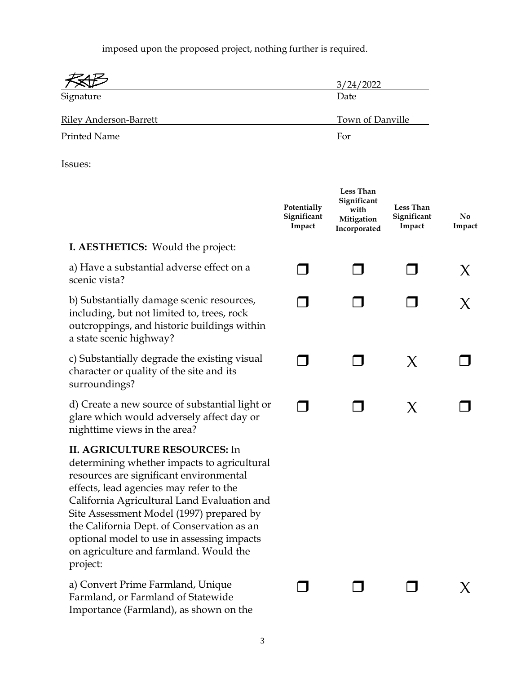imposed upon the proposed project, nothing further is required.

|                        | 3/24/2022        |
|------------------------|------------------|
| Signature              | Date             |
| Riley Anderson-Barrett | Town of Danville |
| Printed Name           | For              |

Issues:

|                                                                                                                                                                                                                                                                                                                                                                                                                        | Potentially<br>Significant<br>Impact | <b>Less Than</b><br>Significant<br>with<br>Mitigation<br>Incorporated | <b>Less Than</b><br>Significant<br>Impact | N <sub>0</sub><br>Impact |
|------------------------------------------------------------------------------------------------------------------------------------------------------------------------------------------------------------------------------------------------------------------------------------------------------------------------------------------------------------------------------------------------------------------------|--------------------------------------|-----------------------------------------------------------------------|-------------------------------------------|--------------------------|
| I. AESTHETICS: Would the project:                                                                                                                                                                                                                                                                                                                                                                                      |                                      |                                                                       |                                           |                          |
| a) Have a substantial adverse effect on a<br>scenic vista?                                                                                                                                                                                                                                                                                                                                                             |                                      |                                                                       |                                           | X                        |
| b) Substantially damage scenic resources,<br>including, but not limited to, trees, rock<br>outcroppings, and historic buildings within<br>a state scenic highway?                                                                                                                                                                                                                                                      |                                      |                                                                       |                                           | X                        |
| c) Substantially degrade the existing visual<br>character or quality of the site and its<br>surroundings?                                                                                                                                                                                                                                                                                                              |                                      |                                                                       | $\chi$                                    |                          |
| d) Create a new source of substantial light or<br>glare which would adversely affect day or<br>nighttime views in the area?                                                                                                                                                                                                                                                                                            |                                      |                                                                       | X                                         |                          |
| <b>II. AGRICULTURE RESOURCES: In</b><br>determining whether impacts to agricultural<br>resources are significant environmental<br>effects, lead agencies may refer to the<br>California Agricultural Land Evaluation and<br>Site Assessment Model (1997) prepared by<br>the California Dept. of Conservation as an<br>optional model to use in assessing impacts<br>on agriculture and farmland. Would the<br>project: |                                      |                                                                       |                                           |                          |
| a) Convert Prime Farmland, Unique<br>Farmland, or Farmland of Statewide<br>Importance (Farmland), as shown on the                                                                                                                                                                                                                                                                                                      |                                      |                                                                       |                                           | $\chi$                   |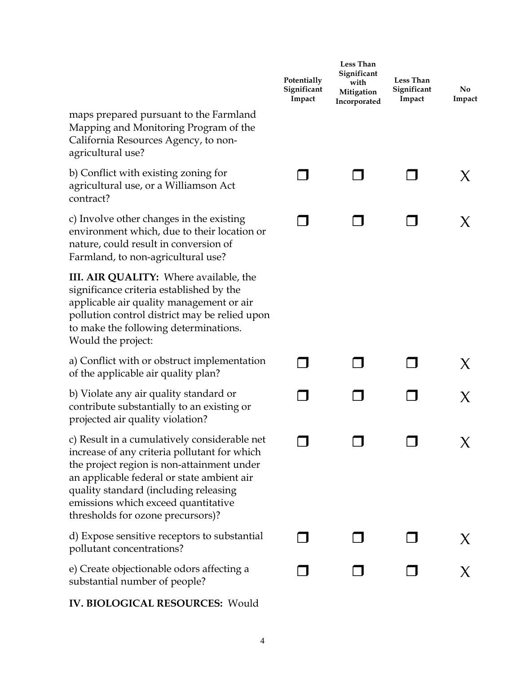|                                                                                                                                                                                                                                                                                                               | Potentially<br>Significant<br>Impact | Less Than<br>Significant<br>with<br>Mitigation<br>Incorporated | Less Than<br>Significant<br>Impact | No.<br>Impact |
|---------------------------------------------------------------------------------------------------------------------------------------------------------------------------------------------------------------------------------------------------------------------------------------------------------------|--------------------------------------|----------------------------------------------------------------|------------------------------------|---------------|
| maps prepared pursuant to the Farmland<br>Mapping and Monitoring Program of the<br>California Resources Agency, to non-<br>agricultural use?                                                                                                                                                                  |                                      |                                                                |                                    |               |
| b) Conflict with existing zoning for<br>agricultural use, or a Williamson Act<br>contract?                                                                                                                                                                                                                    |                                      |                                                                |                                    | X.            |
| c) Involve other changes in the existing<br>environment which, due to their location or<br>nature, could result in conversion of<br>Farmland, to non-agricultural use?                                                                                                                                        |                                      |                                                                |                                    | X             |
| III. AIR QUALITY: Where available, the<br>significance criteria established by the<br>applicable air quality management or air<br>pollution control district may be relied upon<br>to make the following determinations.<br>Would the project:                                                                |                                      |                                                                |                                    |               |
| a) Conflict with or obstruct implementation<br>of the applicable air quality plan?                                                                                                                                                                                                                            |                                      |                                                                |                                    | X.            |
| b) Violate any air quality standard or<br>contribute substantially to an existing or<br>projected air quality violation?                                                                                                                                                                                      |                                      |                                                                |                                    | X             |
| c) Result in a cumulatively considerable net<br>increase of any criteria pollutant for which<br>the project region is non-attainment under<br>an applicable federal or state ambient air<br>quality standard (including releasing<br>emissions which exceed quantitative<br>thresholds for ozone precursors)? |                                      |                                                                |                                    | X             |
| d) Expose sensitive receptors to substantial<br>pollutant concentrations?                                                                                                                                                                                                                                     |                                      |                                                                |                                    | X.            |
| e) Create objectionable odors affecting a<br>substantial number of people?                                                                                                                                                                                                                                    |                                      |                                                                |                                    |               |
| <b>IV. BIOLOGICAL RESOURCES: Would</b>                                                                                                                                                                                                                                                                        |                                      |                                                                |                                    |               |

4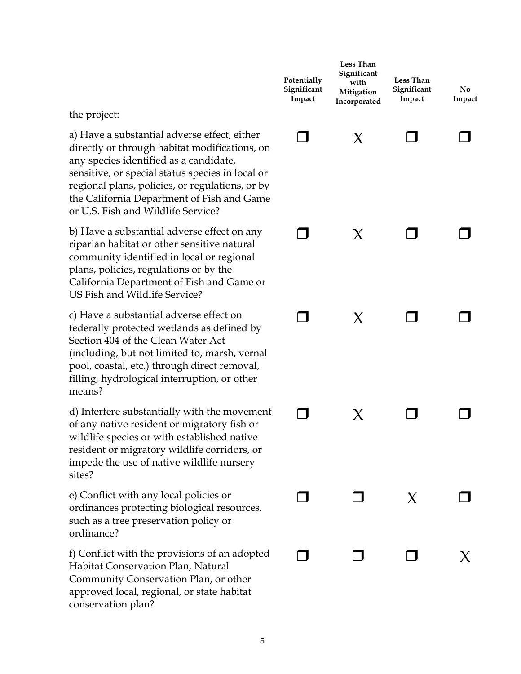|                                                                                                                                                                                                                                                                                                                                    | Potentially<br>Significant<br>Impact | Less Than<br>Significant<br>with<br>Mitigation<br>Incorporated | Less Than<br>Significant<br>Impact | No.<br>Impact |
|------------------------------------------------------------------------------------------------------------------------------------------------------------------------------------------------------------------------------------------------------------------------------------------------------------------------------------|--------------------------------------|----------------------------------------------------------------|------------------------------------|---------------|
| the project:                                                                                                                                                                                                                                                                                                                       |                                      |                                                                |                                    |               |
| a) Have a substantial adverse effect, either<br>directly or through habitat modifications, on<br>any species identified as a candidate,<br>sensitive, or special status species in local or<br>regional plans, policies, or regulations, or by<br>the California Department of Fish and Game<br>or U.S. Fish and Wildlife Service? |                                      | Χ                                                              |                                    |               |
| b) Have a substantial adverse effect on any<br>riparian habitat or other sensitive natural<br>community identified in local or regional<br>plans, policies, regulations or by the<br>California Department of Fish and Game or<br>US Fish and Wildlife Service?                                                                    |                                      | X                                                              |                                    |               |
| c) Have a substantial adverse effect on<br>federally protected wetlands as defined by<br>Section 404 of the Clean Water Act<br>(including, but not limited to, marsh, vernal<br>pool, coastal, etc.) through direct removal,<br>filling, hydrological interruption, or other<br>means?                                             |                                      | X                                                              |                                    |               |
| d) Interfere substantially with the movement<br>of any native resident or migratory fish or<br>wildlife species or with established native<br>resident or migratory wildlife corridors, or<br>impede the use of native wildlife nursery<br>sites?                                                                                  |                                      | X                                                              |                                    |               |
| e) Conflict with any local policies or<br>ordinances protecting biological resources,<br>such as a tree preservation policy or<br>ordinance?                                                                                                                                                                                       |                                      |                                                                | X                                  |               |
| f) Conflict with the provisions of an adopted<br>Habitat Conservation Plan, Natural<br>Community Conservation Plan, or other<br>approved local, regional, or state habitat<br>conservation plan?                                                                                                                                   |                                      |                                                                |                                    |               |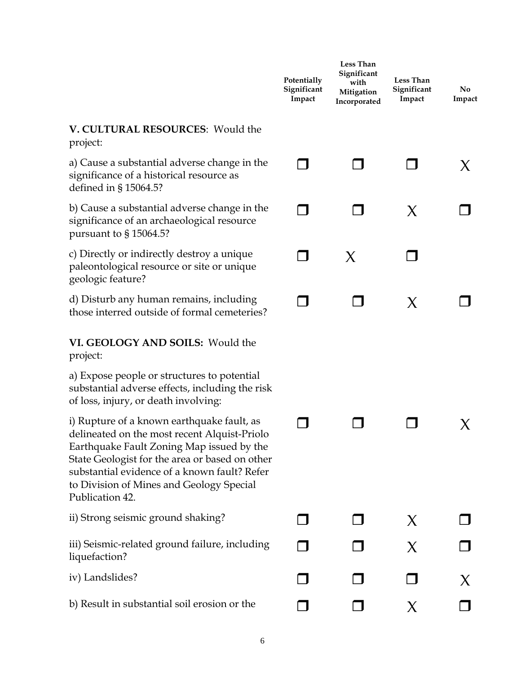|                                                                                                                                                                                                                                                                                                          | Potentially<br>Significant<br>Impact | <b>Less Than</b><br>Significant<br>with<br>Mitigation<br>Incorporated | <b>Less Than</b><br>Significant<br>Impact | No.<br>Impact |
|----------------------------------------------------------------------------------------------------------------------------------------------------------------------------------------------------------------------------------------------------------------------------------------------------------|--------------------------------------|-----------------------------------------------------------------------|-------------------------------------------|---------------|
| V. CULTURAL RESOURCES: Would the<br>project:                                                                                                                                                                                                                                                             |                                      |                                                                       |                                           |               |
| a) Cause a substantial adverse change in the<br>significance of a historical resource as<br>defined in § 15064.5?                                                                                                                                                                                        |                                      |                                                                       |                                           | X.            |
| b) Cause a substantial adverse change in the<br>significance of an archaeological resource<br>pursuant to § 15064.5?                                                                                                                                                                                     |                                      |                                                                       | X                                         |               |
| c) Directly or indirectly destroy a unique<br>paleontological resource or site or unique<br>geologic feature?                                                                                                                                                                                            |                                      | X                                                                     |                                           |               |
| d) Disturb any human remains, including<br>those interred outside of formal cemeteries?                                                                                                                                                                                                                  |                                      |                                                                       | X                                         |               |
| VI. GEOLOGY AND SOILS: Would the<br>project:                                                                                                                                                                                                                                                             |                                      |                                                                       |                                           |               |
| a) Expose people or structures to potential<br>substantial adverse effects, including the risk<br>of loss, injury, or death involving:                                                                                                                                                                   |                                      |                                                                       |                                           |               |
| i) Rupture of a known earthquake fault, as<br>delineated on the most recent Alquist-Priolo<br>Earthquake Fault Zoning Map issued by the<br>State Geologist for the area or based on other<br>substantial evidence of a known fault? Refer<br>to Division of Mines and Geology Special<br>Publication 42. |                                      |                                                                       |                                           |               |
| ii) Strong seismic ground shaking?                                                                                                                                                                                                                                                                       |                                      |                                                                       | X                                         |               |
| iii) Seismic-related ground failure, including<br>liquefaction?                                                                                                                                                                                                                                          |                                      |                                                                       | X                                         |               |
| iv) Landslides?                                                                                                                                                                                                                                                                                          |                                      |                                                                       |                                           |               |
| b) Result in substantial soil erosion or the                                                                                                                                                                                                                                                             |                                      |                                                                       | X                                         |               |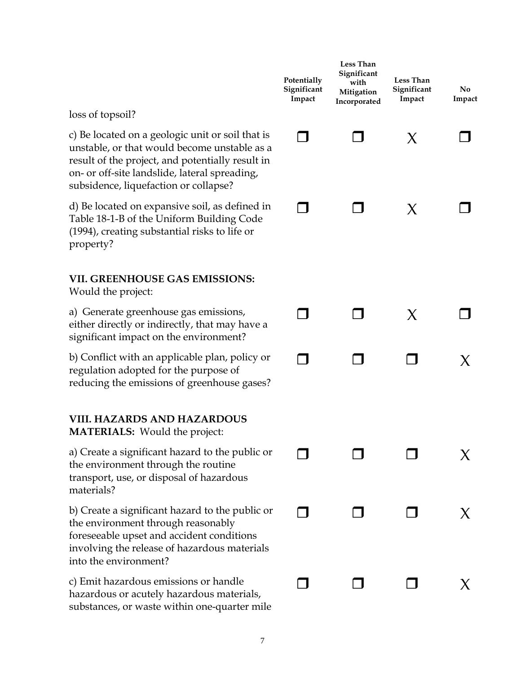|                                                                                                                                                                                                                                                | Potentially<br>Significant<br>Impact | Less Than<br>Significant<br>with<br>Mitigation<br>Incorporated | <b>Less Than</b><br>Significant<br>Impact | No.<br>Impact |
|------------------------------------------------------------------------------------------------------------------------------------------------------------------------------------------------------------------------------------------------|--------------------------------------|----------------------------------------------------------------|-------------------------------------------|---------------|
| loss of topsoil?                                                                                                                                                                                                                               |                                      |                                                                |                                           |               |
| c) Be located on a geologic unit or soil that is<br>unstable, or that would become unstable as a<br>result of the project, and potentially result in<br>on- or off-site landslide, lateral spreading,<br>subsidence, liquefaction or collapse? |                                      |                                                                | X                                         |               |
| d) Be located on expansive soil, as defined in<br>Table 18-1-B of the Uniform Building Code<br>(1994), creating substantial risks to life or<br>property?                                                                                      |                                      |                                                                | X                                         |               |
| <b>VII. GREENHOUSE GAS EMISSIONS:</b><br>Would the project:                                                                                                                                                                                    |                                      |                                                                |                                           |               |
| a) Generate greenhouse gas emissions,<br>either directly or indirectly, that may have a<br>significant impact on the environment?                                                                                                              |                                      |                                                                | X                                         |               |
| b) Conflict with an applicable plan, policy or<br>regulation adopted for the purpose of<br>reducing the emissions of greenhouse gases?                                                                                                         |                                      |                                                                |                                           | X             |
| <b>VIII. HAZARDS AND HAZARDOUS</b><br><b>MATERIALS:</b> Would the project:                                                                                                                                                                     |                                      |                                                                |                                           |               |
| a) Create a significant hazard to the public or<br>the environment through the routine<br>transport, use, or disposal of hazardous<br>materials?                                                                                               |                                      |                                                                |                                           |               |
| b) Create a significant hazard to the public or<br>the environment through reasonably<br>foreseeable upset and accident conditions<br>involving the release of hazardous materials<br>into the environment?                                    |                                      |                                                                |                                           |               |
| c) Emit hazardous emissions or handle<br>hazardous or acutely hazardous materials,<br>substances, or waste within one-quarter mile                                                                                                             |                                      |                                                                |                                           |               |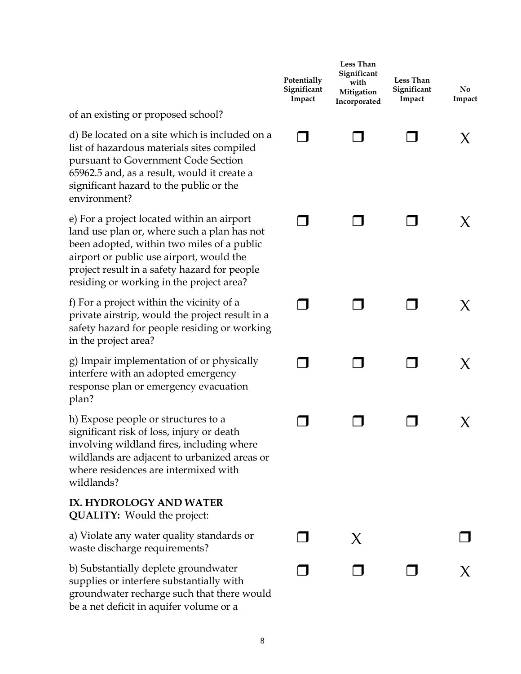|                                                                                                                                                                                                                                                                                 | Potentially<br>Significant<br>Impact | <b>Less Than</b><br>Significant<br>with<br>Mitigation<br>Incorporated | Less Than<br>Significant<br>Impact | No.<br>Impact |
|---------------------------------------------------------------------------------------------------------------------------------------------------------------------------------------------------------------------------------------------------------------------------------|--------------------------------------|-----------------------------------------------------------------------|------------------------------------|---------------|
| of an existing or proposed school?                                                                                                                                                                                                                                              |                                      |                                                                       |                                    |               |
| d) Be located on a site which is included on a<br>list of hazardous materials sites compiled<br>pursuant to Government Code Section<br>65962.5 and, as a result, would it create a<br>significant hazard to the public or the<br>environment?                                   |                                      |                                                                       |                                    |               |
| e) For a project located within an airport<br>land use plan or, where such a plan has not<br>been adopted, within two miles of a public<br>airport or public use airport, would the<br>project result in a safety hazard for people<br>residing or working in the project area? |                                      |                                                                       |                                    |               |
| f) For a project within the vicinity of a<br>private airstrip, would the project result in a<br>safety hazard for people residing or working<br>in the project area?                                                                                                            |                                      |                                                                       |                                    | X.            |
| g) Impair implementation of or physically<br>interfere with an adopted emergency<br>response plan or emergency evacuation<br>plan?                                                                                                                                              |                                      |                                                                       |                                    | X.            |
| h) Expose people or structures to a<br>significant risk of loss, injury or death<br>involving wildland fires, including where<br>wildlands are adjacent to urbanized areas or<br>where residences are intermixed with<br>wildlands?                                             |                                      |                                                                       |                                    |               |
| IX. HYDROLOGY AND WATER<br><b>QUALITY:</b> Would the project:                                                                                                                                                                                                                   |                                      |                                                                       |                                    |               |
| a) Violate any water quality standards or<br>waste discharge requirements?                                                                                                                                                                                                      |                                      | X                                                                     |                                    |               |
| b) Substantially deplete groundwater<br>supplies or interfere substantially with<br>groundwater recharge such that there would<br>be a net deficit in aquifer volume or a                                                                                                       |                                      |                                                                       |                                    |               |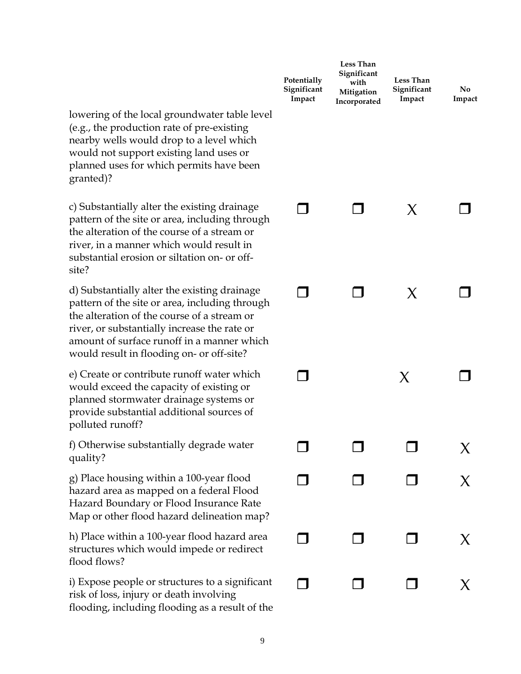|                                                                                                                                                                                                                                                                                          | Potentially<br>Significant<br>Impact | Less Than<br>Significant<br>with<br>Mitigation<br>Incorporated | Less Than<br>Significant<br>Impact | No.<br>Impact |
|------------------------------------------------------------------------------------------------------------------------------------------------------------------------------------------------------------------------------------------------------------------------------------------|--------------------------------------|----------------------------------------------------------------|------------------------------------|---------------|
| lowering of the local groundwater table level<br>(e.g., the production rate of pre-existing<br>nearby wells would drop to a level which<br>would not support existing land uses or<br>planned uses for which permits have been<br>granted)?                                              |                                      |                                                                |                                    |               |
| c) Substantially alter the existing drainage<br>pattern of the site or area, including through<br>the alteration of the course of a stream or<br>river, in a manner which would result in<br>substantial erosion or siltation on- or off-<br>site?                                       |                                      |                                                                | X                                  |               |
| d) Substantially alter the existing drainage<br>pattern of the site or area, including through<br>the alteration of the course of a stream or<br>river, or substantially increase the rate or<br>amount of surface runoff in a manner which<br>would result in flooding on- or off-site? |                                      |                                                                | X                                  |               |
| e) Create or contribute runoff water which<br>would exceed the capacity of existing or<br>planned stormwater drainage systems or<br>provide substantial additional sources of<br>polluted runoff?                                                                                        |                                      |                                                                | X                                  |               |
| f) Otherwise substantially degrade water<br>quality?                                                                                                                                                                                                                                     |                                      |                                                                |                                    | X             |
| g) Place housing within a 100-year flood<br>hazard area as mapped on a federal Flood<br>Hazard Boundary or Flood Insurance Rate<br>Map or other flood hazard delineation map?                                                                                                            |                                      |                                                                |                                    |               |
| h) Place within a 100-year flood hazard area<br>structures which would impede or redirect<br>flood flows?                                                                                                                                                                                |                                      |                                                                |                                    | X             |
| i) Expose people or structures to a significant<br>risk of loss, injury or death involving<br>flooding, including flooding as a result of the                                                                                                                                            |                                      |                                                                |                                    |               |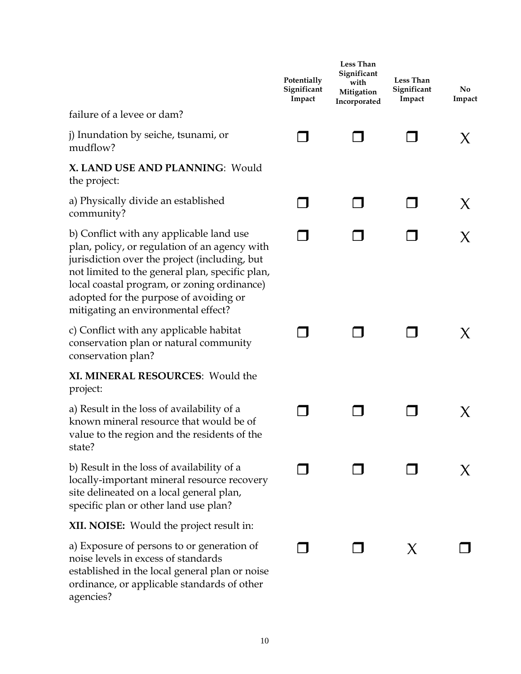|                                                                                                                                                                                                                                                                                                                               | Potentially<br>Significant<br>Impact | Less Than<br>Significant<br>with<br>Mitigation<br>Incorporated | <b>Less Than</b><br>Significant<br>Impact | No<br>Impact |
|-------------------------------------------------------------------------------------------------------------------------------------------------------------------------------------------------------------------------------------------------------------------------------------------------------------------------------|--------------------------------------|----------------------------------------------------------------|-------------------------------------------|--------------|
| failure of a levee or dam?                                                                                                                                                                                                                                                                                                    |                                      |                                                                |                                           |              |
| j) Inundation by seiche, tsunami, or<br>mudflow?                                                                                                                                                                                                                                                                              |                                      |                                                                |                                           | X            |
| X. LAND USE AND PLANNING: Would<br>the project:                                                                                                                                                                                                                                                                               |                                      |                                                                |                                           |              |
| a) Physically divide an established<br>community?                                                                                                                                                                                                                                                                             |                                      |                                                                |                                           | X            |
| b) Conflict with any applicable land use<br>plan, policy, or regulation of an agency with<br>jurisdiction over the project (including, but<br>not limited to the general plan, specific plan,<br>local coastal program, or zoning ordinance)<br>adopted for the purpose of avoiding or<br>mitigating an environmental effect? |                                      |                                                                |                                           | X            |
| c) Conflict with any applicable habitat<br>conservation plan or natural community<br>conservation plan?                                                                                                                                                                                                                       |                                      |                                                                |                                           | X.           |
| XI. MINERAL RESOURCES: Would the<br>project:                                                                                                                                                                                                                                                                                  |                                      |                                                                |                                           |              |
| a) Result in the loss of availability of a<br>known mineral resource that would be of<br>value to the region and the residents of the<br>state?                                                                                                                                                                               |                                      |                                                                |                                           | X            |
| b) Result in the loss of availability of a<br>locally-important mineral resource recovery<br>site delineated on a local general plan,<br>specific plan or other land use plan?                                                                                                                                                |                                      |                                                                |                                           |              |
| <b>XII. NOISE:</b> Would the project result in:                                                                                                                                                                                                                                                                               |                                      |                                                                |                                           |              |
| a) Exposure of persons to or generation of<br>noise levels in excess of standards<br>established in the local general plan or noise<br>ordinance, or applicable standards of other<br>agencies?                                                                                                                               |                                      |                                                                | X                                         |              |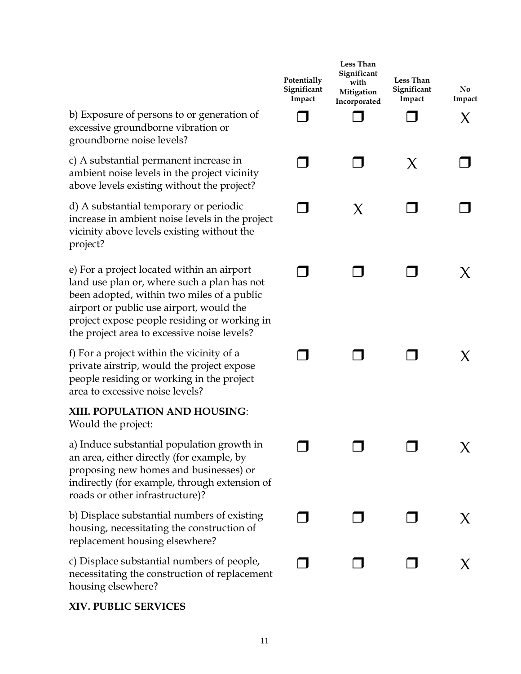b) Exposure of persons to or generation of excessive groundborne vibration or groundborne noise levels?

c) A substantial permanent increase in ambient noise levels in the project vicinity above levels existing without the project?

d) A substantial temporary or periodic increase in ambient noise levels in the project vicinity above levels existing without the project?

e) For a project located within an airport land use plan or, where such a plan has not been adopted, within two miles of a public airport or public use airport, would the project expose people residing or working in the project area to excessive noise levels?

f) For a project within the vicinity of a private airstrip, would the project expose people residing or working in the project area to excessive noise levels?

#### **XIII. POPULATION AND HOUSING**: Would the project:

a) Induce substantial population growth in an area, either directly (for example, by proposing new homes and businesses) or indirectly (for example, through extension of

roads or other infrastructure)?

b) Displace substantial numbers of existing housing, necessitating the construction of replacement housing elsewhere?

c) Displace substantial numbers of people, necessitating the construction of replacement housing elsewhere?

#### **XIV. PUBLIC SERVICES**

| Potentially<br>Significant<br>Impact | <b>Less Than</b><br>Significant<br>with<br>Mitigation<br>Incorporated | Less Than<br>Significant<br>Impact | $\bf No$<br>Impact<br>X |
|--------------------------------------|-----------------------------------------------------------------------|------------------------------------|-------------------------|
| $\Box$                               | $\sqcap$                                                              | $\boldsymbol{\mathsf{X}}$          |                         |
| - 1                                  | X                                                                     | $\Box$                             |                         |
| ┓                                    | ┓                                                                     | П                                  | Х                       |
|                                      |                                                                       | ᄀ                                  | X                       |
| $\Box$                               | $\Box$                                                                | $\Box$                             | $\chi$                  |
| $\Box$                               | $\Box$                                                                | $\Box$                             | $\chi$                  |
| $\Box$                               | $\Box$                                                                | $\Box$                             | $\chi$                  |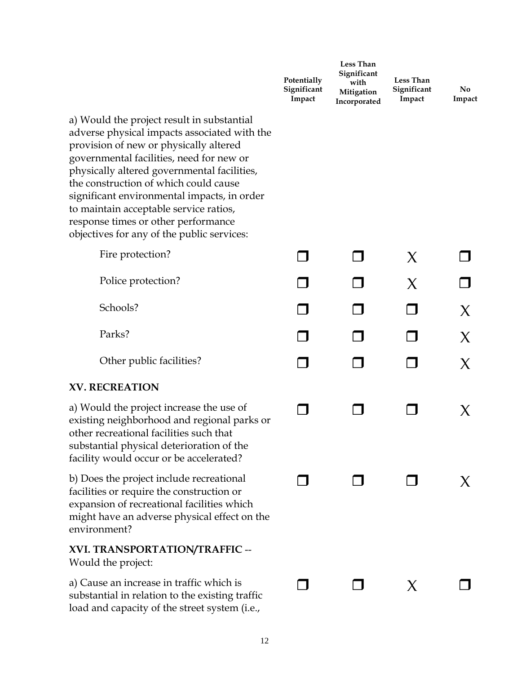|                                                                                                                                                                                                                                                                                                                                                                                                                                                        | Potentially<br>Significant<br>Impact | Less Than<br>Significant<br>with<br>Mitigation<br>Incorporated | Less Than<br>Significant<br>Impact | No.<br>Impact |
|--------------------------------------------------------------------------------------------------------------------------------------------------------------------------------------------------------------------------------------------------------------------------------------------------------------------------------------------------------------------------------------------------------------------------------------------------------|--------------------------------------|----------------------------------------------------------------|------------------------------------|---------------|
| a) Would the project result in substantial<br>adverse physical impacts associated with the<br>provision of new or physically altered<br>governmental facilities, need for new or<br>physically altered governmental facilities,<br>the construction of which could cause<br>significant environmental impacts, in order<br>to maintain acceptable service ratios,<br>response times or other performance<br>objectives for any of the public services: |                                      |                                                                |                                    |               |
| Fire protection?                                                                                                                                                                                                                                                                                                                                                                                                                                       |                                      |                                                                | X                                  |               |
| Police protection?                                                                                                                                                                                                                                                                                                                                                                                                                                     |                                      |                                                                | X                                  |               |
| Schools?                                                                                                                                                                                                                                                                                                                                                                                                                                               |                                      |                                                                |                                    | X             |
| Parks?                                                                                                                                                                                                                                                                                                                                                                                                                                                 |                                      |                                                                |                                    | X             |
| Other public facilities?                                                                                                                                                                                                                                                                                                                                                                                                                               |                                      |                                                                |                                    | X             |
| <b>XV. RECREATION</b>                                                                                                                                                                                                                                                                                                                                                                                                                                  |                                      |                                                                |                                    |               |
| a) Would the project increase the use of<br>existing neighborhood and regional parks or<br>other recreational facilities such that<br>substantial physical deterioration of the<br>facility would occur or be accelerated?                                                                                                                                                                                                                             |                                      |                                                                |                                    | X.            |
| b) Does the project include recreational<br>facilities or require the construction or<br>expansion of recreational facilities which<br>might have an adverse physical effect on the<br>environment?                                                                                                                                                                                                                                                    |                                      |                                                                |                                    |               |
| XVI. TRANSPORTATION/TRAFFIC --<br>Would the project:                                                                                                                                                                                                                                                                                                                                                                                                   |                                      |                                                                |                                    |               |
| a) Cause an increase in traffic which is<br>substantial in relation to the existing traffic<br>load and capacity of the street system (i.e.,                                                                                                                                                                                                                                                                                                           |                                      |                                                                | X                                  |               |
|                                                                                                                                                                                                                                                                                                                                                                                                                                                        |                                      |                                                                |                                    |               |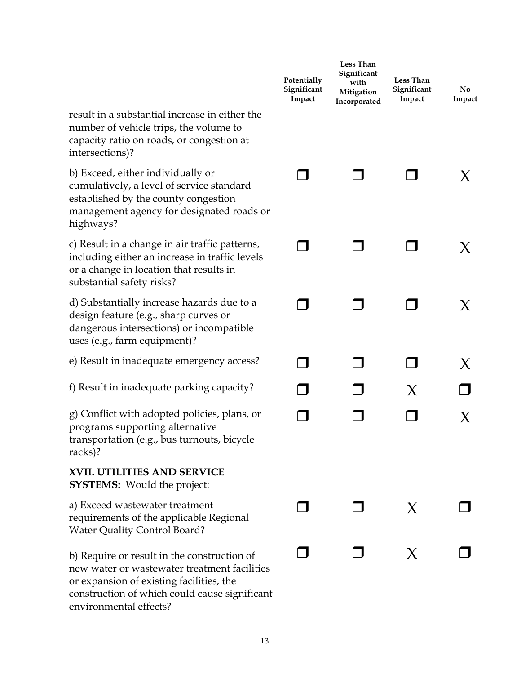|                                                                                                                                                                                                                    | Potentially<br>Significant<br>Impact | Less Than<br>Significant<br>with<br>Mitigation<br>Incorporated | <b>Less Than</b><br>Significant<br>Impact | No.<br>Impact |
|--------------------------------------------------------------------------------------------------------------------------------------------------------------------------------------------------------------------|--------------------------------------|----------------------------------------------------------------|-------------------------------------------|---------------|
| result in a substantial increase in either the<br>number of vehicle trips, the volume to<br>capacity ratio on roads, or congestion at<br>intersections)?                                                           |                                      |                                                                |                                           |               |
| b) Exceed, either individually or<br>cumulatively, a level of service standard<br>established by the county congestion<br>management agency for designated roads or<br>highways?                                   |                                      |                                                                |                                           | X.            |
| c) Result in a change in air traffic patterns,<br>including either an increase in traffic levels<br>or a change in location that results in<br>substantial safety risks?                                           |                                      |                                                                |                                           | X.            |
| d) Substantially increase hazards due to a<br>design feature (e.g., sharp curves or<br>dangerous intersections) or incompatible<br>uses (e.g., farm equipment)?                                                    |                                      |                                                                |                                           | X             |
| e) Result in inadequate emergency access?                                                                                                                                                                          |                                      |                                                                |                                           | X             |
| f) Result in inadequate parking capacity?                                                                                                                                                                          |                                      |                                                                | X                                         |               |
| g) Conflict with adopted policies, plans, or<br>programs supporting alternative<br>transportation (e.g., bus turnouts, bicycle<br>racks)?                                                                          |                                      |                                                                |                                           | X             |
| <b>XVII. UTILITIES AND SERVICE</b><br><b>SYSTEMS:</b> Would the project:                                                                                                                                           |                                      |                                                                |                                           |               |
| a) Exceed wastewater treatment<br>requirements of the applicable Regional<br><b>Water Quality Control Board?</b>                                                                                                   |                                      |                                                                | X                                         |               |
| b) Require or result in the construction of<br>new water or wastewater treatment facilities<br>or expansion of existing facilities, the<br>construction of which could cause significant<br>environmental effects? |                                      |                                                                | X                                         |               |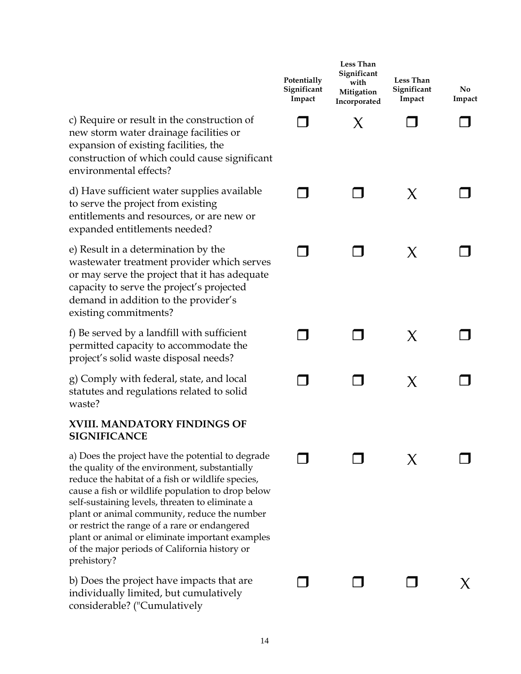|                                                                                                                                                                                                                                                                                                                                                                                                                                                                                     | Potentially<br>Significant<br>Impact | Less Than<br>Significant<br>with<br>Mitigation<br>Incorporated | <b>Less Than</b><br>Significant<br>Impact | No<br>Impact |
|-------------------------------------------------------------------------------------------------------------------------------------------------------------------------------------------------------------------------------------------------------------------------------------------------------------------------------------------------------------------------------------------------------------------------------------------------------------------------------------|--------------------------------------|----------------------------------------------------------------|-------------------------------------------|--------------|
| c) Require or result in the construction of<br>new storm water drainage facilities or<br>expansion of existing facilities, the<br>construction of which could cause significant<br>environmental effects?                                                                                                                                                                                                                                                                           |                                      | X                                                              |                                           |              |
| d) Have sufficient water supplies available<br>to serve the project from existing<br>entitlements and resources, or are new or<br>expanded entitlements needed?                                                                                                                                                                                                                                                                                                                     |                                      |                                                                | X                                         |              |
| e) Result in a determination by the<br>wastewater treatment provider which serves<br>or may serve the project that it has adequate<br>capacity to serve the project's projected<br>demand in addition to the provider's<br>existing commitments?                                                                                                                                                                                                                                    |                                      |                                                                | X                                         |              |
| f) Be served by a landfill with sufficient<br>permitted capacity to accommodate the<br>project's solid waste disposal needs?                                                                                                                                                                                                                                                                                                                                                        |                                      |                                                                | X                                         |              |
| g) Comply with federal, state, and local<br>statutes and regulations related to solid<br>waste?                                                                                                                                                                                                                                                                                                                                                                                     |                                      |                                                                | X                                         |              |
| XVIII. MANDATORY FINDINGS OF<br><b>SIGNIFICANCE</b>                                                                                                                                                                                                                                                                                                                                                                                                                                 |                                      |                                                                |                                           |              |
| a) Does the project have the potential to degrade<br>the quality of the environment, substantially<br>reduce the habitat of a fish or wildlife species,<br>cause a fish or wildlife population to drop below<br>self-sustaining levels, threaten to eliminate a<br>plant or animal community, reduce the number<br>or restrict the range of a rare or endangered<br>plant or animal or eliminate important examples<br>of the major periods of California history or<br>prehistory? |                                      |                                                                |                                           |              |
| b) Does the project have impacts that are<br>individually limited, but cumulatively<br>considerable? ("Cumulatively                                                                                                                                                                                                                                                                                                                                                                 |                                      |                                                                |                                           |              |
|                                                                                                                                                                                                                                                                                                                                                                                                                                                                                     |                                      |                                                                |                                           |              |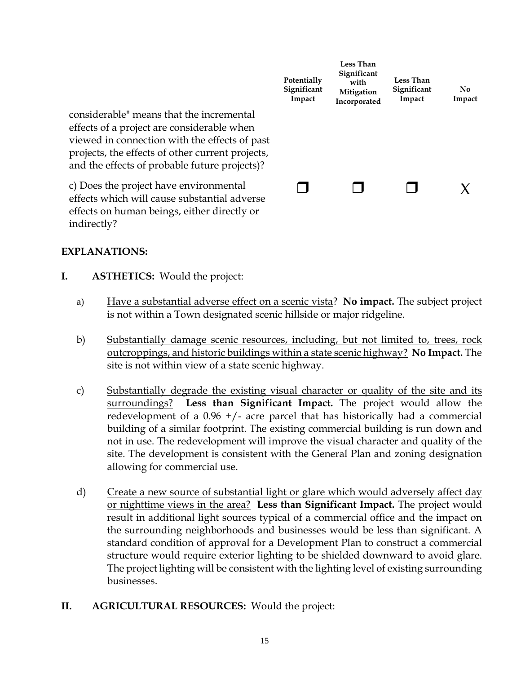|                                                                                                                                                                                                                                              | Potentially<br>Significant<br>Impact | <b>Less Than</b><br>Significant<br>with<br>Mitigation<br>Incorporated | <b>Less Than</b><br>Significant<br>Impact | No.<br>Impact |
|----------------------------------------------------------------------------------------------------------------------------------------------------------------------------------------------------------------------------------------------|--------------------------------------|-----------------------------------------------------------------------|-------------------------------------------|---------------|
| considerable" means that the incremental<br>effects of a project are considerable when<br>viewed in connection with the effects of past<br>projects, the effects of other current projects,<br>and the effects of probable future projects)? |                                      |                                                                       |                                           |               |
| c) Does the project have environmental<br>effects which will cause substantial adverse<br>effects on human beings, either directly or                                                                                                        |                                      |                                                                       |                                           | X             |

#### **EXPLANATIONS:**

indirectly?

- **I. ASTHETICS:** Would the project:
	- a) Have a substantial adverse effect on a scenic vista? **No impact.** The subject project is not within a Town designated scenic hillside or major ridgeline.
	- b) Substantially damage scenic resources, including, but not limited to, trees, rock outcroppings, and historic buildings within a state scenic highway? **No Impact.** The site is not within view of a state scenic highway.
	- c) Substantially degrade the existing visual character or quality of the site and its surroundings? **Less than Significant Impact.** The project would allow the redevelopment of a  $0.96$  +/- acre parcel that has historically had a commercial building of a similar footprint. The existing commercial building is run down and not in use. The redevelopment will improve the visual character and quality of the site. The development is consistent with the General Plan and zoning designation allowing for commercial use.
	- d) Create a new source of substantial light or glare which would adversely affect day or nighttime views in the area? **Less than Significant Impact.** The project would result in additional light sources typical of a commercial office and the impact on the surrounding neighborhoods and businesses would be less than significant. A standard condition of approval for a Development Plan to construct a commercial structure would require exterior lighting to be shielded downward to avoid glare. The project lighting will be consistent with the lighting level of existing surrounding businesses.
- **II. AGRICULTURAL RESOURCES:** Would the project: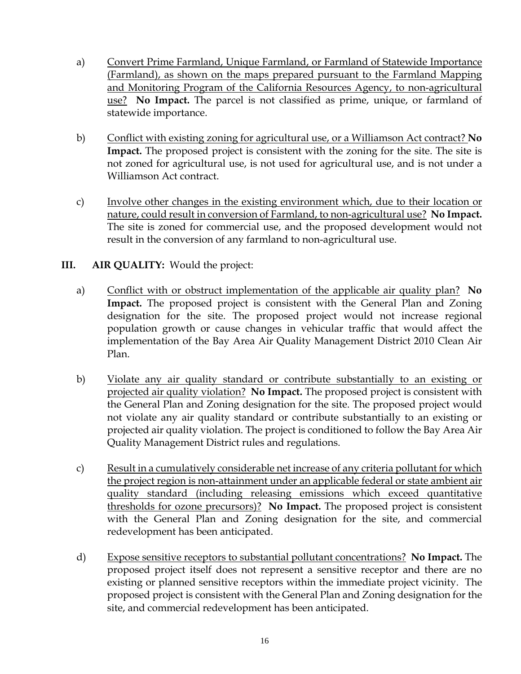- a) Convert Prime Farmland, Unique Farmland, or Farmland of Statewide Importance (Farmland), as shown on the maps prepared pursuant to the Farmland Mapping and Monitoring Program of the California Resources Agency, to non-agricultural use? **No Impact.** The parcel is not classified as prime, unique, or farmland of statewide importance.
- b) Conflict with existing zoning for agricultural use, or a Williamson Act contract? **No Impact.** The proposed project is consistent with the zoning for the site. The site is not zoned for agricultural use, is not used for agricultural use, and is not under a Williamson Act contract.
- c) Involve other changes in the existing environment which, due to their location or nature, could result in conversion of Farmland, to non-agricultural use? **No Impact.**  The site is zoned for commercial use, and the proposed development would not result in the conversion of any farmland to non-agricultural use.

#### **III. AIR QUALITY:** Would the project:

- a) Conflict with or obstruct implementation of the applicable air quality plan? **No Impact.** The proposed project is consistent with the General Plan and Zoning designation for the site. The proposed project would not increase regional population growth or cause changes in vehicular traffic that would affect the implementation of the Bay Area Air Quality Management District 2010 Clean Air Plan.
- b) Violate any air quality standard or contribute substantially to an existing or projected air quality violation? **No Impact.** The proposed project is consistent with the General Plan and Zoning designation for the site. The proposed project would not violate any air quality standard or contribute substantially to an existing or projected air quality violation. The project is conditioned to follow the Bay Area Air Quality Management District rules and regulations.
- c) Result in a cumulatively considerable net increase of any criteria pollutant for which the project region is non-attainment under an applicable federal or state ambient air quality standard (including releasing emissions which exceed quantitative thresholds for ozone precursors)? **No Impact.** The proposed project is consistent with the General Plan and Zoning designation for the site, and commercial redevelopment has been anticipated.
- d) Expose sensitive receptors to substantial pollutant concentrations? **No Impact.** The proposed project itself does not represent a sensitive receptor and there are no existing or planned sensitive receptors within the immediate project vicinity. The proposed project is consistent with the General Plan and Zoning designation for the site, and commercial redevelopment has been anticipated.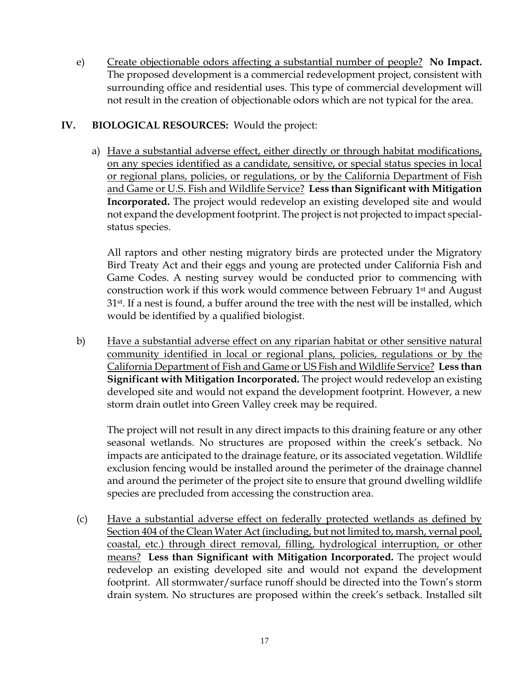e) Create objectionable odors affecting a substantial number of people? **No Impact.**  The proposed development is a commercial redevelopment project, consistent with surrounding office and residential uses. This type of commercial development will not result in the creation of objectionable odors which are not typical for the area.

#### **IV. BIOLOGICAL RESOURCES:** Would the project:

a) Have a substantial adverse effect, either directly or through habitat modifications, on any species identified as a candidate, sensitive, or special status species in local or regional plans, policies, or regulations, or by the California Department of Fish and Game or U.S. Fish and Wildlife Service? **Less than Significant with Mitigation Incorporated.** The project would redevelop an existing developed site and would not expand the development footprint. The project is not projected to impact specialstatus species.

All raptors and other nesting migratory birds are protected under the Migratory Bird Treaty Act and their eggs and young are protected under California Fish and Game Codes. A nesting survey would be conducted prior to commencing with construction work if this work would commence between February 1st and August 31st. If a nest is found, a buffer around the tree with the nest will be installed, which would be identified by a qualified biologist.

b) Have a substantial adverse effect on any riparian habitat or other sensitive natural community identified in local or regional plans, policies, regulations or by the California Department of Fish and Game or US Fish and Wildlife Service? **Less than Significant with Mitigation Incorporated.** The project would redevelop an existing developed site and would not expand the development footprint. However, a new storm drain outlet into Green Valley creek may be required.

The project will not result in any direct impacts to this draining feature or any other seasonal wetlands. No structures are proposed within the creek's setback. No impacts are anticipated to the drainage feature, or its associated vegetation. Wildlife exclusion fencing would be installed around the perimeter of the drainage channel and around the perimeter of the project site to ensure that ground dwelling wildlife species are precluded from accessing the construction area.

(c) Have a substantial adverse effect on federally protected wetlands as defined by Section 404 of the Clean Water Act (including, but not limited to, marsh, vernal pool, coastal, etc.) through direct removal, filling, hydrological interruption, or other means? **Less than Significant with Mitigation Incorporated.** The project would redevelop an existing developed site and would not expand the development footprint. All stormwater/surface runoff should be directed into the Town's storm drain system. No structures are proposed within the creek's setback. Installed silt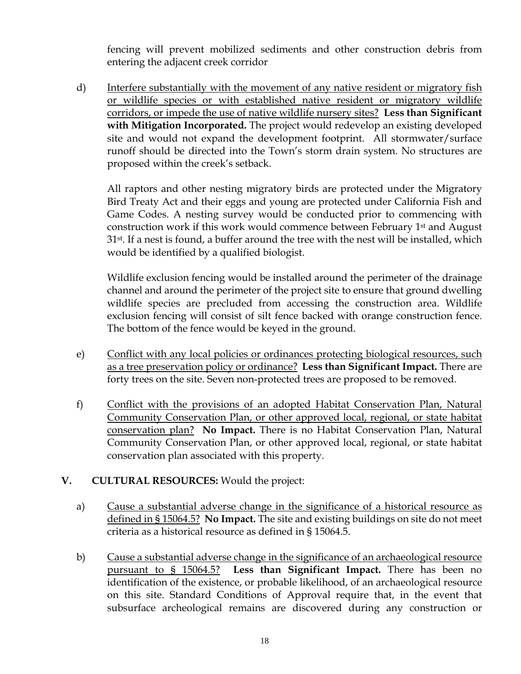fencing will prevent mobilized sediments and other construction debris from entering the adjacent creek corridor

d) Interfere substantially with the movement of any native resident or migratory fish or wildlife species or with established native resident or migratory wildlife corridors, or impede the use of native wildlife nursery sites? **Less than Significant with Mitigation Incorporated.** The project would redevelop an existing developed site and would not expand the development footprint. All stormwater/surface runoff should be directed into the Town's storm drain system. No structures are proposed within the creek's setback.

All raptors and other nesting migratory birds are protected under the Migratory Bird Treaty Act and their eggs and young are protected under California Fish and Game Codes. A nesting survey would be conducted prior to commencing with construction work if this work would commence between February 1st and August 31st. If a nest is found, a buffer around the tree with the nest will be installed, which would be identified by a qualified biologist.

Wildlife exclusion fencing would be installed around the perimeter of the drainage channel and around the perimeter of the project site to ensure that ground dwelling wildlife species are precluded from accessing the construction area. Wildlife exclusion fencing will consist of silt fence backed with orange construction fence. The bottom of the fence would be keyed in the ground.

- e) Conflict with any local policies or ordinances protecting biological resources, such as a tree preservation policy or ordinance? **Less than Significant Impact.** There are forty trees on the site. Seven non-protected trees are proposed to be removed.
- f) Conflict with the provisions of an adopted Habitat Conservation Plan, Natural Community Conservation Plan, or other approved local, regional, or state habitat conservation plan? **No Impact.** There is no Habitat Conservation Plan, Natural Community Conservation Plan, or other approved local, regional, or state habitat conservation plan associated with this property.

#### **V. CULTURAL RESOURCES:** Would the project:

- a) Cause a substantial adverse change in the significance of a historical resource as defined in § 15064.5? **No Impact.** The site and existing buildings on site do not meet criteria as a historical resource as defined in § 15064.5.
- b) Cause a substantial adverse change in the significance of an archaeological resource pursuant to § 15064.5? **Less than Significant Impact.** There has been no identification of the existence, or probable likelihood, of an archaeological resource on this site. Standard Conditions of Approval require that, in the event that subsurface archeological remains are discovered during any construction or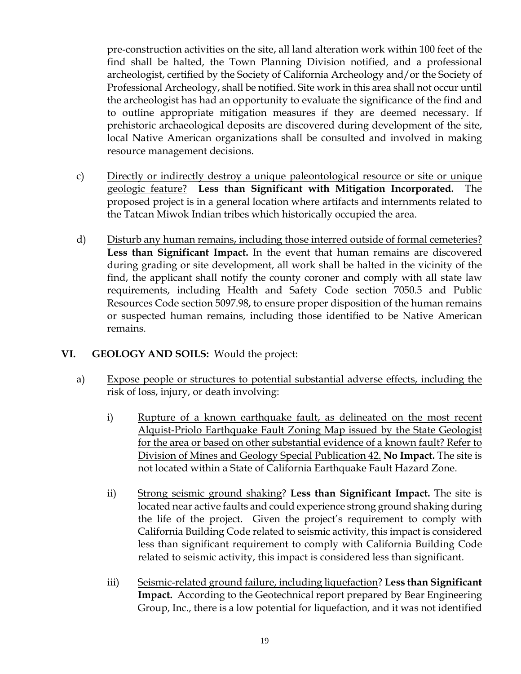pre-construction activities on the site, all land alteration work within 100 feet of the find shall be halted, the Town Planning Division notified, and a professional archeologist, certified by the Society of California Archeology and/or the Society of Professional Archeology, shall be notified. Site work in this area shall not occur until the archeologist has had an opportunity to evaluate the significance of the find and to outline appropriate mitigation measures if they are deemed necessary. If prehistoric archaeological deposits are discovered during development of the site, local Native American organizations shall be consulted and involved in making resource management decisions.

- c) Directly or indirectly destroy a unique paleontological resource or site or unique geologic feature? **Less than Significant with Mitigation Incorporated.** The proposed project is in a general location where artifacts and internments related to the Tatcan Miwok Indian tribes which historically occupied the area.
- d) Disturb any human remains, including those interred outside of formal cemeteries? **Less than Significant Impact.** In the event that human remains are discovered during grading or site development, all work shall be halted in the vicinity of the find, the applicant shall notify the county coroner and comply with all state law requirements, including Health and Safety Code section 7050.5 and Public Resources Code section 5097.98, to ensure proper disposition of the human remains or suspected human remains, including those identified to be Native American remains.

#### **VI. GEOLOGY AND SOILS:** Would the project:

- a) Expose people or structures to potential substantial adverse effects, including the risk of loss, injury, or death involving:
	- i) Rupture of a known earthquake fault, as delineated on the most recent Alquist-Priolo Earthquake Fault Zoning Map issued by the State Geologist for the area or based on other substantial evidence of a known fault? Refer to Division of Mines and Geology Special Publication 42. **No Impact.** The site is not located within a State of California Earthquake Fault Hazard Zone.
	- ii) Strong seismic ground shaking? **Less than Significant Impact.** The site is located near active faults and could experience strong ground shaking during the life of the project. Given the project's requirement to comply with California Building Code related to seismic activity, this impact is considered less than significant requirement to comply with California Building Code related to seismic activity, this impact is considered less than significant.
	- iii) Seismic-related ground failure, including liquefaction? **Less than Significant Impact.** According to the Geotechnical report prepared by Bear Engineering Group, Inc., there is a low potential for liquefaction, and it was not identified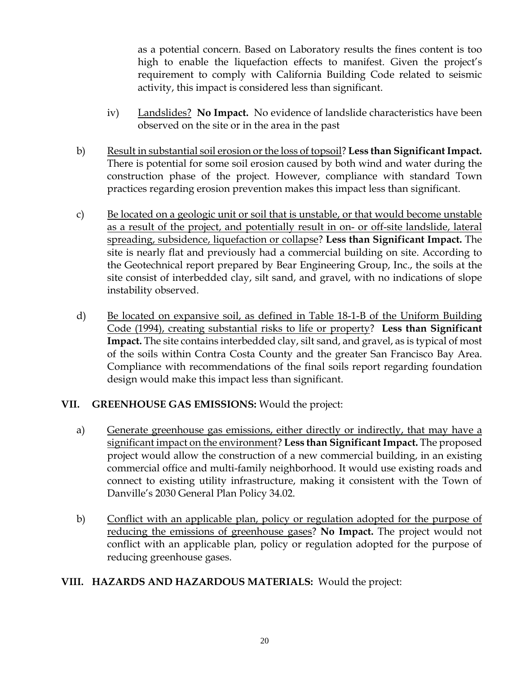as a potential concern. Based on Laboratory results the fines content is too high to enable the liquefaction effects to manifest. Given the project's requirement to comply with California Building Code related to seismic activity, this impact is considered less than significant.

- iv) Landslides? **No Impact.** No evidence of landslide characteristics have been observed on the site or in the area in the past
- b) Result in substantial soil erosion or the loss of topsoil? **Less than Significant Impact.**  There is potential for some soil erosion caused by both wind and water during the construction phase of the project. However, compliance with standard Town practices regarding erosion prevention makes this impact less than significant.
- c) Be located on a geologic unit or soil that is unstable, or that would become unstable as a result of the project, and potentially result in on- or off-site landslide, lateral spreading, subsidence, liquefaction or collapse? **Less than Significant Impact.** The site is nearly flat and previously had a commercial building on site. According to the Geotechnical report prepared by Bear Engineering Group, Inc., the soils at the site consist of interbedded clay, silt sand, and gravel, with no indications of slope instability observed.
- d) Be located on expansive soil, as defined in Table 18-1-B of the Uniform Building Code (1994), creating substantial risks to life or property? **Less than Significant Impact.** The site contains interbedded clay, silt sand, and gravel, as is typical of most of the soils within Contra Costa County and the greater San Francisco Bay Area. Compliance with recommendations of the final soils report regarding foundation design would make this impact less than significant.

#### **VII. GREENHOUSE GAS EMISSIONS:** Would the project:

- a) Generate greenhouse gas emissions, either directly or indirectly, that may have a significant impact on the environment? **Less than Significant Impact.** The proposed project would allow the construction of a new commercial building, in an existing commercial office and multi-family neighborhood. It would use existing roads and connect to existing utility infrastructure, making it consistent with the Town of Danville's 2030 General Plan Policy 34.02.
- b) Conflict with an applicable plan, policy or regulation adopted for the purpose of reducing the emissions of greenhouse gases? **No Impact.** The project would not conflict with an applicable plan, policy or regulation adopted for the purpose of reducing greenhouse gases.

#### **VIII. HAZARDS AND HAZARDOUS MATERIALS:** Would the project: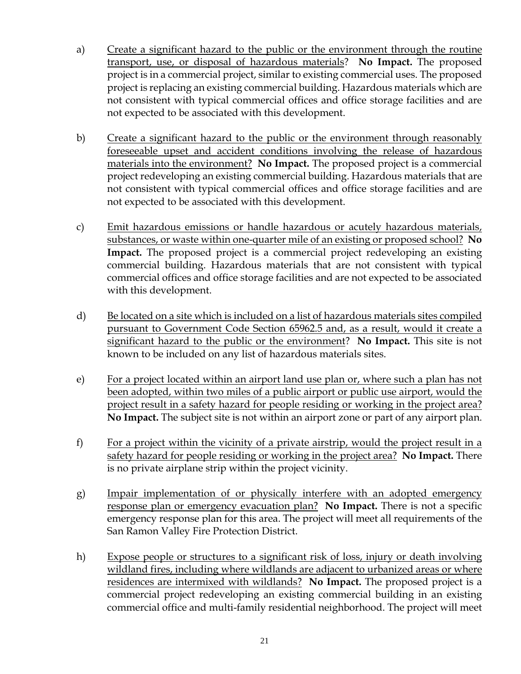- a) Create a significant hazard to the public or the environment through the routine transport, use, or disposal of hazardous materials? **No Impact.** The proposed project is in a commercial project, similar to existing commercial uses. The proposed project is replacing an existing commercial building. Hazardous materials which are not consistent with typical commercial offices and office storage facilities and are not expected to be associated with this development.
- b) Create a significant hazard to the public or the environment through reasonably foreseeable upset and accident conditions involving the release of hazardous materials into the environment? **No Impact.** The proposed project is a commercial project redeveloping an existing commercial building. Hazardous materials that are not consistent with typical commercial offices and office storage facilities and are not expected to be associated with this development.
- c) Emit hazardous emissions or handle hazardous or acutely hazardous materials, substances, or waste within one-quarter mile of an existing or proposed school? **No Impact.** The proposed project is a commercial project redeveloping an existing commercial building. Hazardous materials that are not consistent with typical commercial offices and office storage facilities and are not expected to be associated with this development.
- d) Be located on a site which is included on a list of hazardous materials sites compiled pursuant to Government Code Section 65962.5 and, as a result, would it create a significant hazard to the public or the environment? **No Impact.** This site is not known to be included on any list of hazardous materials sites.
- e) For a project located within an airport land use plan or, where such a plan has not been adopted, within two miles of a public airport or public use airport, would the project result in a safety hazard for people residing or working in the project area? **No Impact.** The subject site is not within an airport zone or part of any airport plan.
- f) For a project within the vicinity of a private airstrip, would the project result in a safety hazard for people residing or working in the project area? **No Impact.** There is no private airplane strip within the project vicinity.
- g) Impair implementation of or physically interfere with an adopted emergency response plan or emergency evacuation plan? **No Impact.** There is not a specific emergency response plan for this area. The project will meet all requirements of the San Ramon Valley Fire Protection District.
- h) Expose people or structures to a significant risk of loss, injury or death involving wildland fires, including where wildlands are adjacent to urbanized areas or where residences are intermixed with wildlands? **No Impact.** The proposed project is a commercial project redeveloping an existing commercial building in an existing commercial office and multi-family residential neighborhood. The project will meet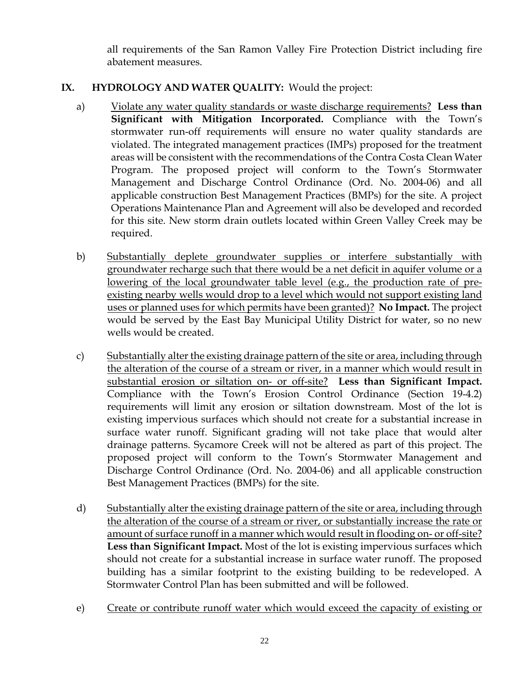all requirements of the San Ramon Valley Fire Protection District including fire abatement measures.

## **IX. HYDROLOGY AND WATER QUALITY:** Would the project:

- a) Violate any water quality standards or waste discharge requirements? **Less than Significant with Mitigation Incorporated.** Compliance with the Town's stormwater run-off requirements will ensure no water quality standards are violated. The integrated management practices (IMPs) proposed for the treatment areas will be consistent with the recommendations of the Contra Costa Clean Water Program. The proposed project will conform to the Town's Stormwater Management and Discharge Control Ordinance (Ord. No. 2004-06) and all applicable construction Best Management Practices (BMPs) for the site. A project Operations Maintenance Plan and Agreement will also be developed and recorded for this site. New storm drain outlets located within Green Valley Creek may be required.
- b) Substantially deplete groundwater supplies or interfere substantially with groundwater recharge such that there would be a net deficit in aquifer volume or a lowering of the local groundwater table level (e.g., the production rate of preexisting nearby wells would drop to a level which would not support existing land uses or planned uses for which permits have been granted)? **No Impact.** The project would be served by the East Bay Municipal Utility District for water, so no new wells would be created.
- c) Substantially alter the existing drainage pattern of the site or area, including through the alteration of the course of a stream or river, in a manner which would result in substantial erosion or siltation on- or off-site? **Less than Significant Impact.** Compliance with the Town's Erosion Control Ordinance (Section 19-4.2) requirements will limit any erosion or siltation downstream. Most of the lot is existing impervious surfaces which should not create for a substantial increase in surface water runoff. Significant grading will not take place that would alter drainage patterns. Sycamore Creek will not be altered as part of this project. The proposed project will conform to the Town's Stormwater Management and Discharge Control Ordinance (Ord. No. 2004-06) and all applicable construction Best Management Practices (BMPs) for the site.
- d) Substantially alter the existing drainage pattern of the site or area, including through the alteration of the course of a stream or river, or substantially increase the rate or amount of surface runoff in a manner which would result in flooding on- or off-site? **Less than Significant Impact.** Most of the lot is existing impervious surfaces which should not create for a substantial increase in surface water runoff. The proposed building has a similar footprint to the existing building to be redeveloped. A Stormwater Control Plan has been submitted and will be followed.
- e) Create or contribute runoff water which would exceed the capacity of existing or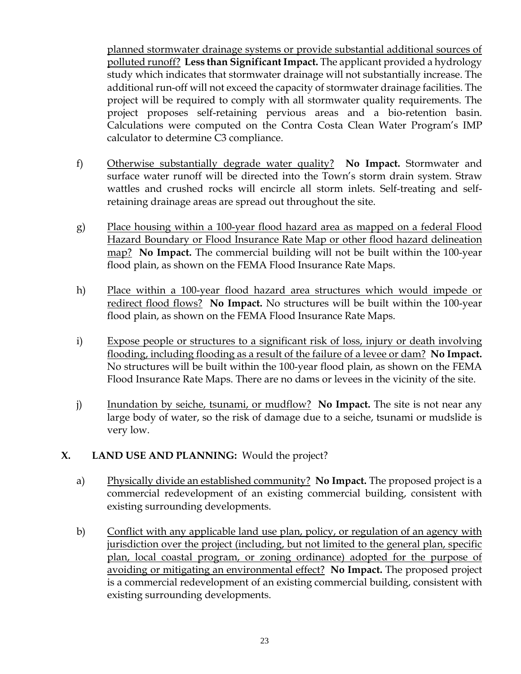planned stormwater drainage systems or provide substantial additional sources of polluted runoff? **Less than Significant Impact.** The applicant provided a hydrology study which indicates that stormwater drainage will not substantially increase. The additional run-off will not exceed the capacity of stormwater drainage facilities. The project will be required to comply with all stormwater quality requirements. The project proposes self-retaining pervious areas and a bio-retention basin. Calculations were computed on the Contra Costa Clean Water Program's IMP calculator to determine C3 compliance.

- f) Otherwise substantially degrade water quality? **No Impact.** Stormwater and surface water runoff will be directed into the Town's storm drain system. Straw wattles and crushed rocks will encircle all storm inlets. Self-treating and selfretaining drainage areas are spread out throughout the site.
- g) Place housing within a 100-year flood hazard area as mapped on a federal Flood Hazard Boundary or Flood Insurance Rate Map or other flood hazard delineation map? **No Impact.** The commercial building will not be built within the 100-year flood plain, as shown on the FEMA Flood Insurance Rate Maps.
- h) Place within a 100-year flood hazard area structures which would impede or redirect flood flows? **No Impact.** No structures will be built within the 100-year flood plain, as shown on the FEMA Flood Insurance Rate Maps.
- i) Expose people or structures to a significant risk of loss, injury or death involving flooding, including flooding as a result of the failure of a levee or dam? **No Impact.**  No structures will be built within the 100-year flood plain, as shown on the FEMA Flood Insurance Rate Maps. There are no dams or levees in the vicinity of the site.
- j) Inundation by seiche, tsunami, or mudflow? **No Impact.** The site is not near any large body of water, so the risk of damage due to a seiche, tsunami or mudslide is very low.

#### **X. LAND USE AND PLANNING:** Would the project?

- a) Physically divide an established community? **No Impact.** The proposed project is a commercial redevelopment of an existing commercial building, consistent with existing surrounding developments.
- b) Conflict with any applicable land use plan, policy, or regulation of an agency with jurisdiction over the project (including, but not limited to the general plan, specific plan, local coastal program, or zoning ordinance) adopted for the purpose of avoiding or mitigating an environmental effect? **No Impact.** The proposed project is a commercial redevelopment of an existing commercial building, consistent with existing surrounding developments.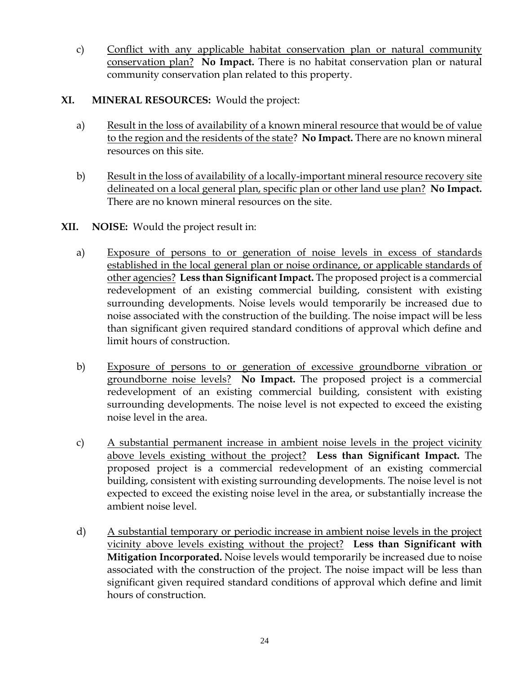c) Conflict with any applicable habitat conservation plan or natural community conservation plan? **No Impact.** There is no habitat conservation plan or natural community conservation plan related to this property.

#### **XI. MINERAL RESOURCES:** Would the project:

- a) Result in the loss of availability of a known mineral resource that would be of value to the region and the residents of the state? **No Impact.** There are no known mineral resources on this site.
- b) Result in the loss of availability of a locally-important mineral resource recovery site delineated on a local general plan, specific plan or other land use plan? **No Impact.**  There are no known mineral resources on the site.
- **XII. NOISE:** Would the project result in:
	- a) Exposure of persons to or generation of noise levels in excess of standards established in the local general plan or noise ordinance, or applicable standards of other agencies? **Less than Significant Impact.** The proposed project is a commercial redevelopment of an existing commercial building, consistent with existing surrounding developments. Noise levels would temporarily be increased due to noise associated with the construction of the building. The noise impact will be less than significant given required standard conditions of approval which define and limit hours of construction.
	- b) Exposure of persons to or generation of excessive groundborne vibration or groundborne noise levels? **No Impact.** The proposed project is a commercial redevelopment of an existing commercial building, consistent with existing surrounding developments. The noise level is not expected to exceed the existing noise level in the area.
	- c) A substantial permanent increase in ambient noise levels in the project vicinity above levels existing without the project? **Less than Significant Impact.** The proposed project is a commercial redevelopment of an existing commercial building, consistent with existing surrounding developments. The noise level is not expected to exceed the existing noise level in the area, or substantially increase the ambient noise level.
	- d) A substantial temporary or periodic increase in ambient noise levels in the project vicinity above levels existing without the project? **Less than Significant with Mitigation Incorporated.** Noise levels would temporarily be increased due to noise associated with the construction of the project. The noise impact will be less than significant given required standard conditions of approval which define and limit hours of construction.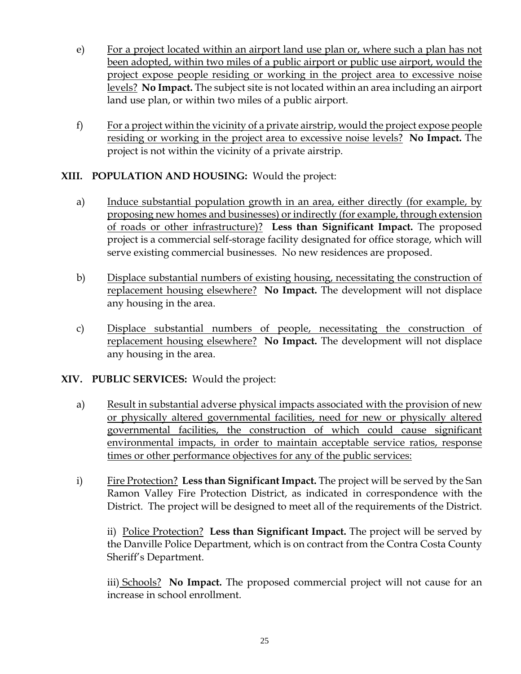- e) For a project located within an airport land use plan or, where such a plan has not been adopted, within two miles of a public airport or public use airport, would the project expose people residing or working in the project area to excessive noise levels? **No Impact.** The subject site is not located within an area including an airport land use plan, or within two miles of a public airport.
- f) For a project within the vicinity of a private airstrip, would the project expose people residing or working in the project area to excessive noise levels? **No Impact.** The project is not within the vicinity of a private airstrip.

#### **XIII. POPULATION AND HOUSING:** Would the project:

- a) Induce substantial population growth in an area, either directly (for example, by proposing new homes and businesses) or indirectly (for example, through extension of roads or other infrastructure)? **Less than Significant Impact.** The proposed project is a commercial self-storage facility designated for office storage, which will serve existing commercial businesses. No new residences are proposed.
- b) Displace substantial numbers of existing housing, necessitating the construction of replacement housing elsewhere? **No Impact.** The development will not displace any housing in the area.
- c) Displace substantial numbers of people, necessitating the construction of replacement housing elsewhere? **No Impact.** The development will not displace any housing in the area.

#### **XIV. PUBLIC SERVICES:** Would the project:

- a) Result in substantial adverse physical impacts associated with the provision of new or physically altered governmental facilities, need for new or physically altered governmental facilities, the construction of which could cause significant environmental impacts, in order to maintain acceptable service ratios, response times or other performance objectives for any of the public services:
- i) Fire Protection? **Less than Significant Impact.** The project will be served by the San Ramon Valley Fire Protection District, as indicated in correspondence with the District. The project will be designed to meet all of the requirements of the District.

ii) Police Protection? **Less than Significant Impact.** The project will be served by the Danville Police Department, which is on contract from the Contra Costa County Sheriff's Department.

iii) Schools? **No Impact.** The proposed commercial project will not cause for an increase in school enrollment.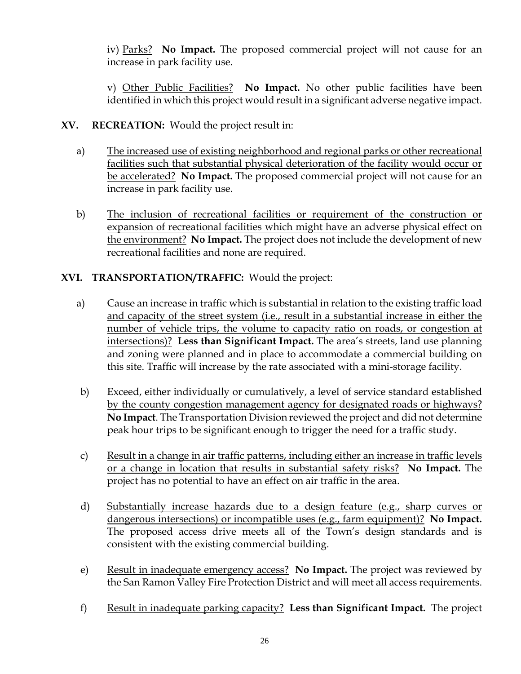iv) Parks? **No Impact.** The proposed commercial project will not cause for an increase in park facility use.

v) Other Public Facilities? **No Impact.** No other public facilities have been identified in which this project would result in a significant adverse negative impact.

- **XV. RECREATION:** Would the project result in:
	- a) The increased use of existing neighborhood and regional parks or other recreational facilities such that substantial physical deterioration of the facility would occur or be accelerated? **No Impact.** The proposed commercial project will not cause for an increase in park facility use.
	- b) The inclusion of recreational facilities or requirement of the construction or expansion of recreational facilities which might have an adverse physical effect on the environment? **No Impact.** The project does not include the development of new recreational facilities and none are required.

## **XVI. TRANSPORTATION/TRAFFIC:** Would the project:

- a) Cause an increase in traffic which is substantial in relation to the existing traffic load and capacity of the street system (i.e., result in a substantial increase in either the number of vehicle trips, the volume to capacity ratio on roads, or congestion at intersections)? **Less than Significant Impact.** The area's streets, land use planning and zoning were planned and in place to accommodate a commercial building on this site. Traffic will increase by the rate associated with a mini-storage facility.
- b) Exceed, either individually or cumulatively, a level of service standard established by the county congestion management agency for designated roads or highways? **No Impact**. The Transportation Division reviewed the project and did not determine peak hour trips to be significant enough to trigger the need for a traffic study.
- c) Result in a change in air traffic patterns, including either an increase in traffic levels or a change in location that results in substantial safety risks? **No Impact.** The project has no potential to have an effect on air traffic in the area.
- d) Substantially increase hazards due to a design feature (e.g., sharp curves or dangerous intersections) or incompatible uses (e.g., farm equipment)? **No Impact.** The proposed access drive meets all of the Town's design standards and is consistent with the existing commercial building.
- e) Result in inadequate emergency access? **No Impact.** The project was reviewed by the San Ramon Valley Fire Protection District and will meet all access requirements.
- f) Result in inadequate parking capacity? **Less than Significant Impact.** The project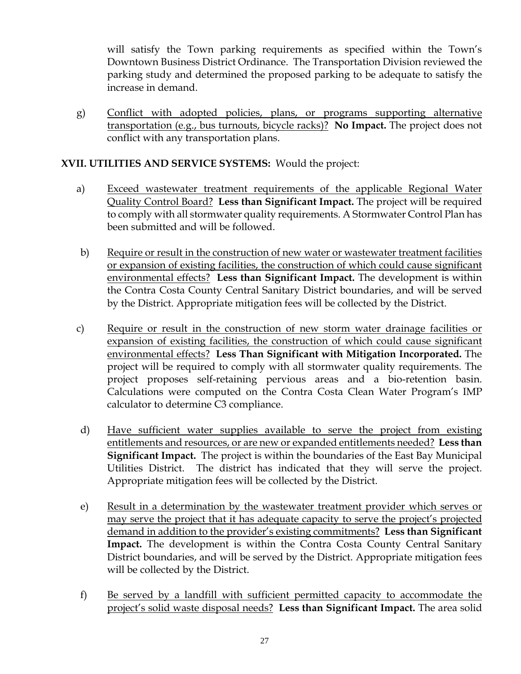will satisfy the Town parking requirements as specified within the Town's Downtown Business District Ordinance. The Transportation Division reviewed the parking study and determined the proposed parking to be adequate to satisfy the increase in demand.

g) Conflict with adopted policies, plans, or programs supporting alternative transportation (e.g., bus turnouts, bicycle racks)? **No Impact.** The project does not conflict with any transportation plans.

#### **XVII. UTILITIES AND SERVICE SYSTEMS:** Would the project:

- a) Exceed wastewater treatment requirements of the applicable Regional Water Quality Control Board? **Less than Significant Impact.** The project will be required to comply with all stormwater quality requirements. A Stormwater Control Plan has been submitted and will be followed.
- b) Require or result in the construction of new water or wastewater treatment facilities or expansion of existing facilities, the construction of which could cause significant environmental effects? **Less than Significant Impact.** The development is within the Contra Costa County Central Sanitary District boundaries, and will be served by the District. Appropriate mitigation fees will be collected by the District.
- c) Require or result in the construction of new storm water drainage facilities or expansion of existing facilities, the construction of which could cause significant environmental effects? **Less Than Significant with Mitigation Incorporated.** The project will be required to comply with all stormwater quality requirements. The project proposes self-retaining pervious areas and a bio-retention basin. Calculations were computed on the Contra Costa Clean Water Program's IMP calculator to determine C3 compliance.
- d) Have sufficient water supplies available to serve the project from existing entitlements and resources, or are new or expanded entitlements needed? **Less than Significant Impact.** The project is within the boundaries of the East Bay Municipal Utilities District. The district has indicated that they will serve the project. Appropriate mitigation fees will be collected by the District.
- e) Result in a determination by the wastewater treatment provider which serves or may serve the project that it has adequate capacity to serve the project's projected demand in addition to the provider's existing commitments? **Less than Significant Impact.** The development is within the Contra Costa County Central Sanitary District boundaries, and will be served by the District. Appropriate mitigation fees will be collected by the District.
- f) Be served by a landfill with sufficient permitted capacity to accommodate the project's solid waste disposal needs? **Less than Significant Impact.** The area solid